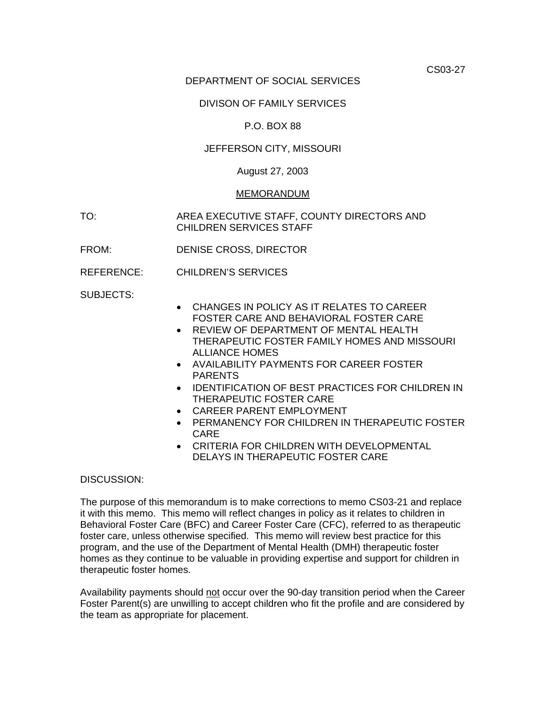CS03-27

# DEPARTMENT OF SOCIAL SERVICES

# DIVISON OF FAMILY SERVICES

# P.O. BOX 88

# JEFFERSON CITY, MISSOURI

### August 27, 2003

#### MEMORANDUM

TO: AREA EXECUTIVE STAFF, COUNTY DIRECTORS AND CHILDREN SERVICES STAFF

- FROM: DENISE CROSS, DIRECTOR
- REFERENCE: CHILDREN'S SERVICES

SUBJECTS:

- CHANGES IN POLICY AS IT RELATES TO CAREER FOSTER CARE AND BEHAVIORAL FOSTER CARE
- REVIEW OF DEPARTMENT OF MENTAL HEALTH THERAPEUTIC FOSTER FAMILY HOMES AND MISSOURI ALLIANCE HOMES
- AVAILABILITY PAYMENTS FOR CAREER FOSTER PARENTS
- IDENTIFICATION OF BEST PRACTICES FOR CHILDREN IN THERAPEUTIC FOSTER CARE
- CAREER PARENT EMPLOYMENT
- PERMANENCY FOR CHILDREN IN THERAPEUTIC FOSTER CARE
- CRITERIA FOR CHILDREN WITH DEVELOPMENTAL DELAYS IN THERAPEUTIC FOSTER CARE

#### DISCUSSION:

The purpose of this memorandum is to make corrections to memo CS03-21 and replace it with this memo. This memo will reflect changes in policy as it relates to children in Behavioral Foster Care (BFC) and Career Foster Care (CFC), referred to as therapeutic foster care, unless otherwise specified. This memo will review best practice for this program, and the use of the Department of Mental Health (DMH) therapeutic foster homes as they continue to be valuable in providing expertise and support for children in therapeutic foster homes.

Availability payments should not occur over the 90-day transition period when the Career Foster Parent(s) are unwilling to accept children who fit the profile and are considered by the team as appropriate for placement.